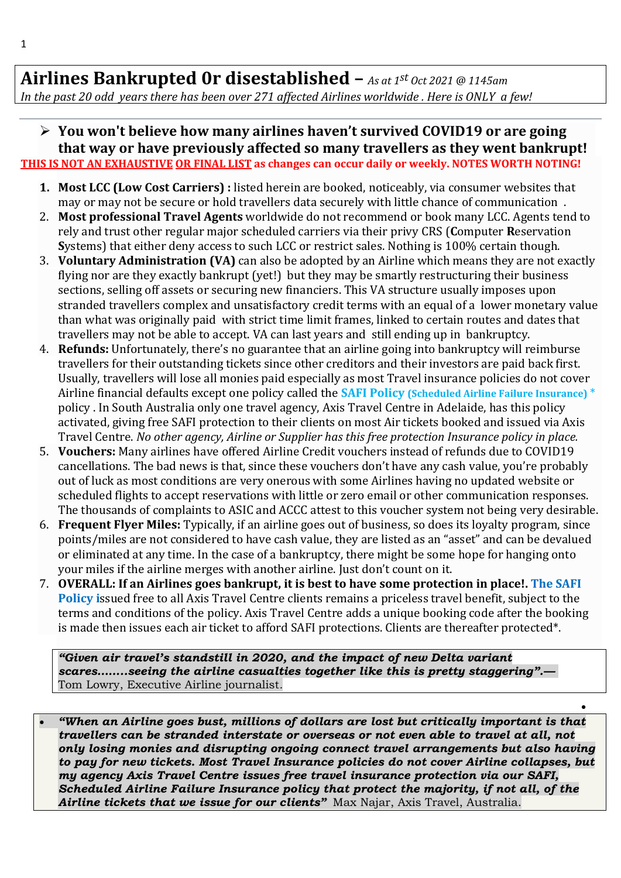## **Airlines Bankrupted 0r disestablished –** *As at 1 st Oct 2021 @ 1145am*

*In the past 20 odd years there has been over 271 affected Airlines worldwide . Here is ONLY a few!* 

## ➢ **You won't believe how many airlines haven't survived COVID19 or are going that way or have previously affected so many travellers as they went bankrupt! THIS IS NOT AN EXHAUSTIVE OR FINAL LIST as changes can occur daily or weekly. NOTES WORTH NOTING!**

- **1. Most LCC (Low Cost Carriers) :** listed herein are booked, noticeably, via consumer websites that may or may not be secure or hold travellers data securely with little chance of communication .
- 2. **Most professional Travel Agents** worldwide do not recommend or book many LCC. Agents tend to rely and trust other regular major scheduled carriers via their privy CRS (**C**omputer **R**eservation **S**ystems) that either deny access to such LCC or restrict sales. Nothing is 100% certain though.
- 3. **Voluntary Administration (VA)** can also be adopted by an Airline which means they are not exactly flying nor are they exactly bankrupt (yet!) but they may be smartly restructuring their business sections, selling off assets or securing new financiers. This VA structure usually imposes upon stranded travellers complex and unsatisfactory credit terms with an equal of a lower monetary value than what was originally paid with strict time limit frames, linked to certain routes and dates that travellers may not be able to accept. VA can last years and still ending up in bankruptcy.
- 4. **Refunds:** Unfortunately, there's no guarantee that an airline going into bankruptcy will reimburse travellers for their outstanding tickets since other creditors and their investors are paid back first. Usually, travellers will lose all monies paid especially as most Travel insurance policies do not cover Airline financial defaults except one policy called the **SAFI Policy (Scheduled Airline Failure Insurance)** \* policy . In South Australia only one travel agency, Axis Travel Centre in Adelaide, has this policy activated, giving free SAFI protection to their clients on most Air tickets booked and issued via Axis Travel Centre. *No other agency, Airline or Supplier has this free protection Insurance policy in place.*
- 5. **Vouchers:** Many airlines have offered Airline Credit vouchers instead of refunds due to COVID19 cancellations. The bad news is that, since these vouchers don't have any cash value, you're probably out of luck as most conditions are very onerous with some Airlines having no updated website or scheduled flights to accept reservations with little or zero email or other communication responses. The thousands of complaints to ASIC and ACCC attest to this voucher system not being very desirable.
- 6. **Frequent Flyer Miles:** Typically, if an airline goes out of business, so does its loyalty program, since points/miles are not considered to have cash value, they are listed as an "asset" and can be devalued or eliminated at any time. In the case of a bankruptcy, there might be some hope for hanging onto your miles if the airline merges with another airline. Just don't count on it.
- 7. **OVERALL: If an Airlines goes bankrupt, it is best to have some protection in place!. The SAFI Policy i**ssued free to all Axis Travel Centre clients remains a priceless travel benefit, subject to the terms and conditions of the policy. Axis Travel Centre adds a unique booking code after the booking is made then issues each air ticket to afford SAFI protections. Clients are thereafter protected\*.

*"Given air travel's standstill in 2020, and the impact of new Delta variant scares……..seeing the airline casualties together like this is pretty staggering".—* Tom Lowry, Executive Airline journalist*.*

• *"When an Airline goes bust, millions of dollars are lost but critically important is that travellers can be stranded interstate or overseas or not even able to travel at all, not only losing monies and disrupting ongoing connect travel arrangements but also having to pay for new tickets. Most Travel Insurance policies do not cover Airline collapses, but my agency Axis Travel Centre issues free travel insurance protection via our SAFI, Scheduled Airline Failure Insurance policy that protect the majority, if not all, of the Airline tickets that we issue for our clients"* Max Najar, Axis Travel, Australia.

•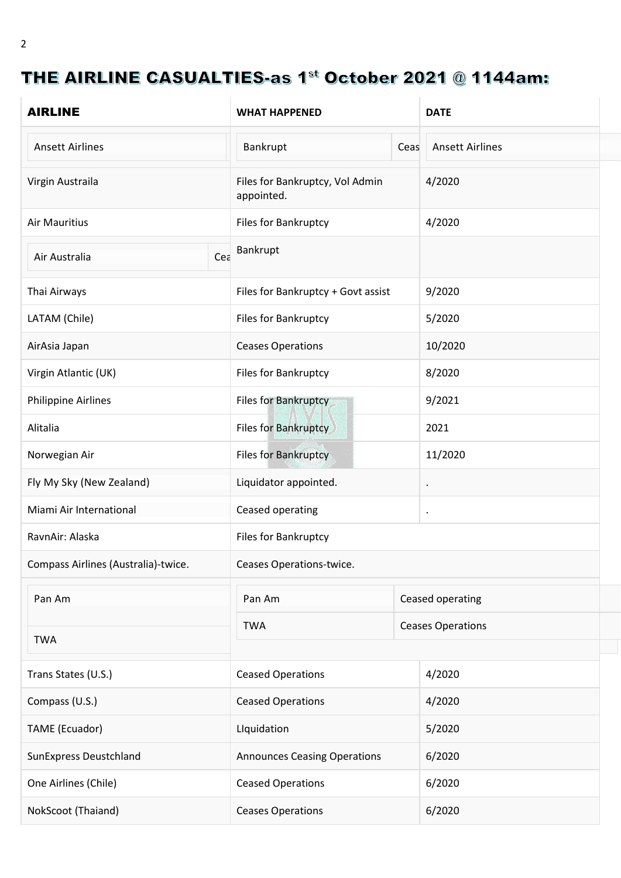## THE AIRLINE CASUALTIES-as 1st October 2021 @ 1144am:

| <b>AIRLINE</b>                      | <b>WHAT HAPPENED</b>                          |      | <b>DATE</b>              |
|-------------------------------------|-----------------------------------------------|------|--------------------------|
| <b>Ansett Airlines</b>              | Bankrupt                                      | Ceas | <b>Ansett Airlines</b>   |
| Virgin Austraila                    | Files for Bankruptcy, Vol Admin<br>appointed. |      | 4/2020                   |
| <b>Air Mauritius</b>                | Files for Bankruptcy                          |      | 4/2020                   |
| Cea<br>Air Australia                | Bankrupt                                      |      |                          |
| Thai Airways                        | Files for Bankruptcy + Govt assist            |      | 9/2020                   |
| LATAM (Chile)                       | Files for Bankruptcy                          |      | 5/2020                   |
| AirAsia Japan                       | <b>Ceases Operations</b>                      |      | 10/2020                  |
| Virgin Atlantic (UK)                | Files for Bankruptcy                          |      | 8/2020                   |
| <b>Philippine Airlines</b>          | Files for Bankruptcy                          |      | 9/2021                   |
| Alitalia                            | <b>Files for Bankruptcy</b>                   |      | 2021                     |
| Norwegian Air                       | <b>Files for Bankruptcy</b>                   |      | 11/2020                  |
| Fly My Sky (New Zealand)            | Liquidator appointed.                         |      | $\bullet$                |
| Miami Air International             | Ceased operating                              |      | $\bullet$                |
| RavnAir: Alaska                     | Files for Bankruptcy                          |      |                          |
| Compass Airlines (Australia)-twice. | Ceases Operations-twice.                      |      |                          |
| Pan Am                              | Pan Am                                        |      | Ceased operating         |
|                                     | <b>TWA</b>                                    |      | <b>Ceases Operations</b> |
| <b>TWA</b>                          |                                               |      |                          |
| Trans States (U.S.)                 | <b>Ceased Operations</b>                      |      | 4/2020                   |
| Compass (U.S.)                      | <b>Ceased Operations</b>                      |      | 4/2020                   |
| TAME (Ecuador)                      | Liquidation                                   |      | 5/2020                   |
| <b>SunExpress Deustchland</b>       | <b>Announces Ceasing Operations</b>           |      | 6/2020                   |
| One Airlines (Chile)                | <b>Ceased Operations</b>                      |      | 6/2020                   |
| NokScoot (Thaiand)                  | <b>Ceases Operations</b>                      |      | 6/2020                   |

 $\mathcal{L}_{\mathcal{A}}$